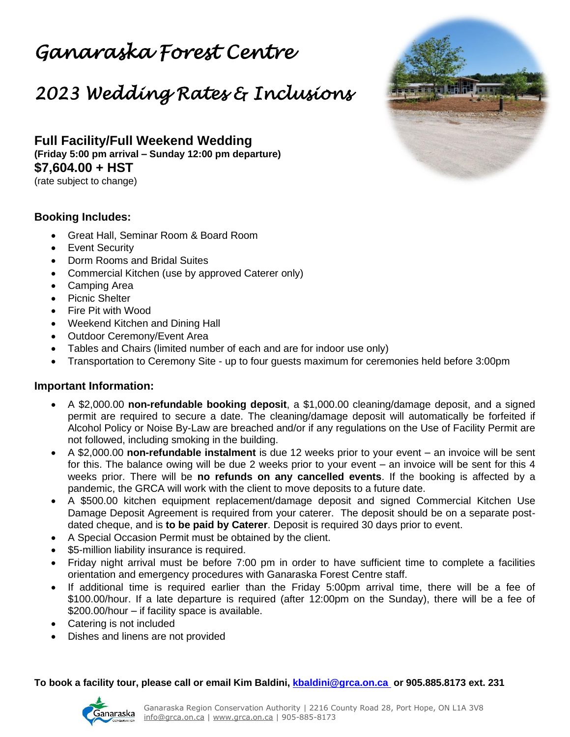## *Ganaraska Forest Centre*

## *2023 Wedding Rates & Inclusions*

**Full Facility/Full Weekend Wedding (Friday 5:00 pm arrival – Sunday 12:00 pm departure) \$7,604.00 + HST** (rate subject to change)

## **Booking Includes:**

- Great Hall, Seminar Room & Board Room
- Event Security
- Dorm Rooms and Bridal Suites
- Commercial Kitchen (use by approved Caterer only)
- Camping Area
- Picnic Shelter
- Fire Pit with Wood
- Weekend Kitchen and Dining Hall
- Outdoor Ceremony/Event Area
- Tables and Chairs (limited number of each and are for indoor use only)
- Transportation to Ceremony Site *up to four guests maximum for ceremonies held before 3:00pm*

## **Important Information:**

- A \$2,000.00 **non-refundable booking deposit**, a \$1,000.00 cleaning/damage deposit, and a signed permit are required to secure a date. The cleaning/damage deposit will automatically be forfeited if Alcohol Policy or Noise By-Law are breached and/or if any regulations on the Use of Facility Permit are not followed, including smoking in the building.
- A \$2,000.00 **non-refundable instalment** is due 12 weeks prior to your event an invoice will be sent for this. The balance owing will be due 2 weeks prior to your event – an invoice will be sent for this 4 weeks prior. There will be **no refunds on any cancelled events**. If the booking is affected by a pandemic, the GRCA will work with the client to move deposits to a future date.
- A \$500.00 kitchen equipment replacement/damage deposit and signed Commercial Kitchen Use Damage Deposit Agreement is required from your caterer. The deposit should be on a separate postdated cheque, and is **to be paid by Caterer**. Deposit is required 30 days prior to event.
- A Special Occasion Permit must be obtained by the client.
- \$5-million liability insurance is required.
- Friday night arrival must be before 7:00 pm in order to have sufficient time to complete a facilities orientation and emergency procedures with Ganaraska Forest Centre staff.
- If additional time is required earlier than the Friday 5:00pm arrival time, there will be a fee of \$100.00/hour. If a late departure is required (after 12:00pm on the Sunday), there will be a fee of \$200.00/hour – *if facility space is available.*
- Catering is not included
- Dishes and linens are not provided

*To book a facility tour, please call or email Kim Baldini, [kbaldini@grca.on.ca](mailto:kbaldini@grca.on.ca)* **or** *905.885.8173 ext. 231*